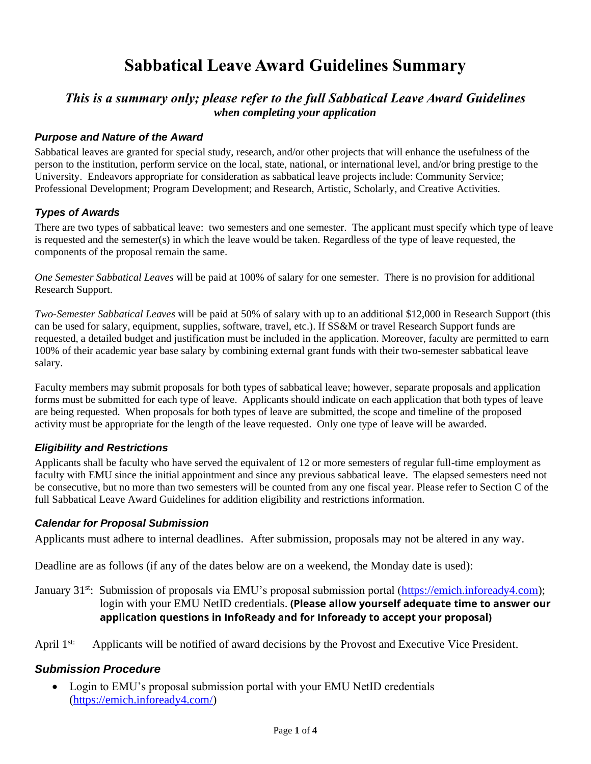# **Sabbatical Leave Award Guidelines Summary**

## *This is a summary only; please refer to the full Sabbatical Leave Award Guidelines when completing your application*

#### *Purpose and Nature of the Award*

Sabbatical leaves are granted for special study, research, and/or other projects that will enhance the usefulness of the person to the institution, perform service on the local, state, national, or international level, and/or bring prestige to the University. Endeavors appropriate for consideration as sabbatical leave projects include: Community Service; Professional Development; Program Development; and Research, Artistic, Scholarly, and Creative Activities.

#### *Types of Awards*

There are two types of sabbatical leave: two semesters and one semester. The applicant must specify which type of leave is requested and the semester(s) in which the leave would be taken. Regardless of the type of leave requested, the components of the proposal remain the same.

*One Semester Sabbatical Leaves* will be paid at 100% of salary for one semester. There is no provision for additional Research Support.

*Two-Semester Sabbatical Leaves* will be paid at 50% of salary with up to an additional \$12,000 in Research Support (this can be used for salary, equipment, supplies, software, travel, etc.). If SS&M or travel Research Support funds are requested, a detailed budget and justification must be included in the application. Moreover, faculty are permitted to earn 100% of their academic year base salary by combining external grant funds with their two-semester sabbatical leave salary.

Faculty members may submit proposals for both types of sabbatical leave; however, separate proposals and application forms must be submitted for each type of leave. Applicants should indicate on each application that both types of leave are being requested. When proposals for both types of leave are submitted, the scope and timeline of the proposed activity must be appropriate for the length of the leave requested. Only one type of leave will be awarded.

#### *Eligibility and Restrictions*

Applicants shall be faculty who have served the equivalent of 12 or more semesters of regular full-time employment as faculty with EMU since the initial appointment and since any previous sabbatical leave. The elapsed semesters need not be consecutive, but no more than two semesters will be counted from any one fiscal year. Please refer to Section C of the full Sabbatical Leave Award Guidelines for addition eligibility and restrictions information.

#### *Calendar for Proposal Submission*

Applicants must adhere to internal deadlines. After submission, proposals may not be altered in any way.

Deadline are as follows (if any of the dates below are on a weekend, the Monday date is used):

January 31<sup>st</sup>: Submission of proposals via EMU's proposal submission portal [\(https://emich.infoready4.com\)](https://emich.infoready4.com/); login with your EMU NetID credentials. **(Please allow yourself adequate time to answer our application questions in InfoReady and for Infoready to accept your proposal)**

April 1<sup>st:</sup> Applicants will be notified of award decisions by the Provost and Executive Vice President.

#### *Submission Procedure*

• Login to EMU's proposal submission portal with your EMU NetID credentials [\(https://emich.infoready4.com/\)](https://emich.infoready4.com/)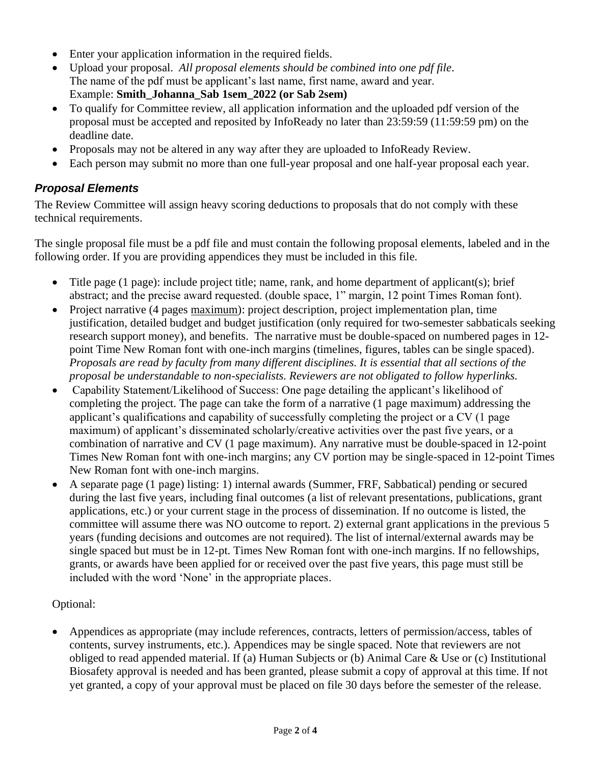- Enter your application information in the required fields.
- Upload your proposal. *All proposal elements should be combined into one pdf file*. The name of the pdf must be applicant's last name, first name, award and year. Example: **Smith\_Johanna\_Sab 1sem\_2022 (or Sab 2sem)**
- To qualify for Committee review, all application information and the uploaded pdf version of the proposal must be accepted and reposited by InfoReady no later than 23:59:59 (11:59:59 pm) on the deadline date.
- Proposals may not be altered in any way after they are uploaded to InfoReady Review.
- Each person may submit no more than one full-year proposal and one half-year proposal each year.

## *Proposal Elements*

The Review Committee will assign heavy scoring deductions to proposals that do not comply with these technical requirements.

The single proposal file must be a pdf file and must contain the following proposal elements, labeled and in the following order. If you are providing appendices they must be included in this file.

- Title page (1 page): include project title; name, rank, and home department of applicant(s); brief abstract; and the precise award requested. (double space, 1" margin, 12 point Times Roman font).
- Project narrative (4 pages maximum): project description, project implementation plan, time justification, detailed budget and budget justification (only required for two-semester sabbaticals seeking research support money), and benefits. The narrative must be double-spaced on numbered pages in 12 point Time New Roman font with one-inch margins (timelines, figures, tables can be single spaced). *Proposals are read by faculty from many different disciplines. It is essential that all sections of the proposal be understandable to non-specialists. Reviewers are not obligated to follow hyperlinks.*
- Capability Statement/Likelihood of Success: One page detailing the applicant's likelihood of completing the project. The page can take the form of a narrative (1 page maximum) addressing the applicant's qualifications and capability of successfully completing the project or a CV (1 page maximum) of applicant's disseminated scholarly/creative activities over the past five years, or a combination of narrative and CV (1 page maximum). Any narrative must be double-spaced in 12-point Times New Roman font with one-inch margins; any CV portion may be single-spaced in 12-point Times New Roman font with one-inch margins.
- A separate page (1 page) listing: 1) internal awards (Summer, FRF, Sabbatical) pending or secured during the last five years, including final outcomes (a list of relevant presentations, publications, grant applications, etc.) or your current stage in the process of dissemination. If no outcome is listed, the committee will assume there was NO outcome to report. 2) external grant applications in the previous 5 years (funding decisions and outcomes are not required). The list of internal/external awards may be single spaced but must be in 12-pt. Times New Roman font with one-inch margins. If no fellowships, grants, or awards have been applied for or received over the past five years, this page must still be included with the word 'None' in the appropriate places.

## Optional:

• Appendices as appropriate (may include references, contracts, letters of permission/access, tables of contents, survey instruments, etc.). Appendices may be single spaced. Note that reviewers are not obliged to read appended material. If (a) Human Subjects or (b) Animal Care & Use or (c) Institutional Biosafety approval is needed and has been granted, please submit a copy of approval at this time. If not yet granted, a copy of your approval must be placed on file 30 days before the semester of the release.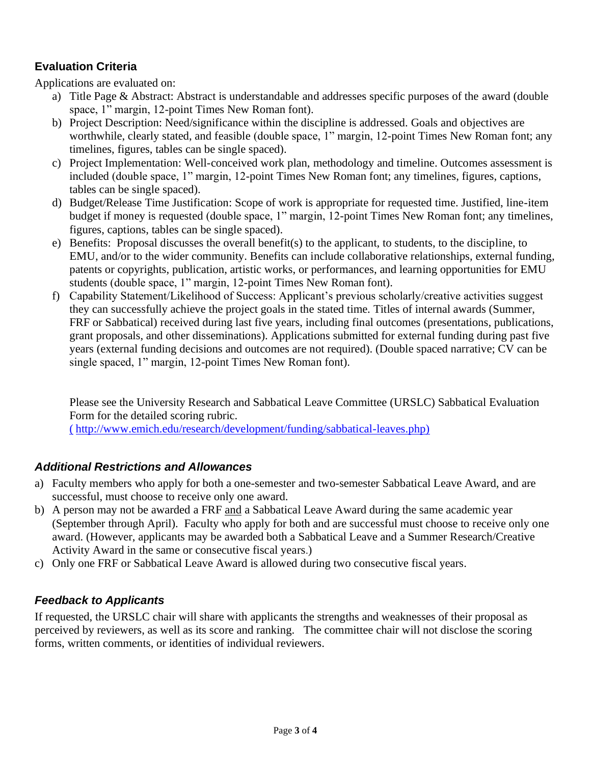## **Evaluation Criteria**

Applications are evaluated on:

- a) Title Page & Abstract: Abstract is understandable and addresses specific purposes of the award (double space, 1" margin, 12-point Times New Roman font).
- b) Project Description: Need/significance within the discipline is addressed. Goals and objectives are worthwhile, clearly stated, and feasible (double space, 1" margin, 12-point Times New Roman font; any timelines, figures, tables can be single spaced).
- c) Project Implementation: Well-conceived work plan, methodology and timeline. Outcomes assessment is included (double space, 1" margin, 12-point Times New Roman font; any timelines, figures, captions, tables can be single spaced).
- d) Budget/Release Time Justification: Scope of work is appropriate for requested time. Justified, line-item budget if money is requested (double space, 1" margin, 12-point Times New Roman font; any timelines, figures, captions, tables can be single spaced).
- e) Benefits: Proposal discusses the overall benefit(s) to the applicant, to students, to the discipline, to EMU, and/or to the wider community. Benefits can include collaborative relationships, external funding, patents or copyrights, publication, artistic works, or performances, and learning opportunities for EMU students (double space, 1" margin, 12-point Times New Roman font).
- f) Capability Statement/Likelihood of Success: Applicant's previous scholarly/creative activities suggest they can successfully achieve the project goals in the stated time. Titles of internal awards (Summer, FRF or Sabbatical) received during last five years, including final outcomes (presentations, publications, grant proposals, and other disseminations). Applications submitted for external funding during past five years (external funding decisions and outcomes are not required). (Double spaced narrative; CV can be single spaced, 1" margin, 12-point Times New Roman font).

Please see the University Research and Sabbatical Leave Committee (URSLC) Sabbatical Evaluation Form for the detailed scoring rubric. ( [http://www.emich.edu/research/development/funding/sabbatical-leaves.php\)](http://www.emich.edu/research/development/funding/sabbatical-leaves.php)

## *Additional Restrictions and Allowances*

- a) Faculty members who apply for both a one-semester and two-semester Sabbatical Leave Award, and are successful, must choose to receive only one award.
- b) A person may not be awarded a FRF and a Sabbatical Leave Award during the same academic year (September through April). Faculty who apply for both and are successful must choose to receive only one award. (However, applicants may be awarded both a Sabbatical Leave and a Summer Research/Creative Activity Award in the same or consecutive fiscal years.)
- c) Only one FRF or Sabbatical Leave Award is allowed during two consecutive fiscal years.

## *Feedback to Applicants*

If requested, the URSLC chair will share with applicants the strengths and weaknesses of their proposal as perceived by reviewers, as well as its score and ranking. The committee chair will not disclose the scoring forms, written comments, or identities of individual reviewers.